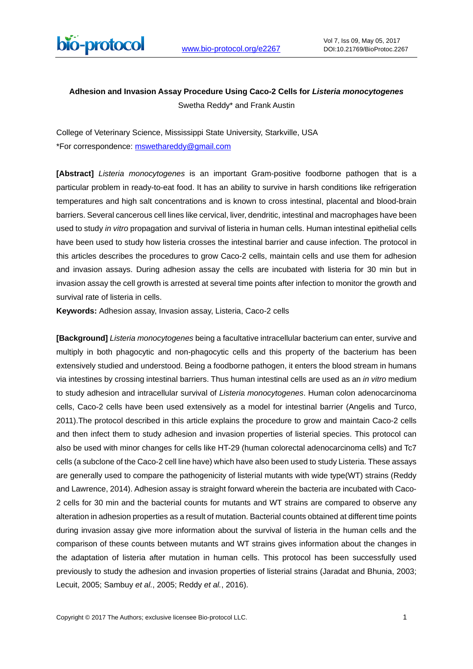

# **Adhesion and Invasion Assay Procedure Using Caco-2 Cells for** *Listeria monocytogenes* Swetha Reddy\* and Frank Austin

College of Veterinary Science, Mississippi State University, Starkville, USA \*For correspondence: [mswethareddy@gmail.com](mailto:mswethareddy@gmail.com)

**[Abstract]** *Listeria monocytogenes* is an important Gram-positive foodborne pathogen that is a particular problem in ready-to-eat food. It has an ability to survive in harsh conditions like refrigeration temperatures and high salt concentrations and is known to cross intestinal, placental and blood-brain barriers. Several cancerous cell lines like cervical, liver, dendritic, intestinal and macrophages have been used to study *in vitro* propagation and survival of listeria in human cells. Human intestinal epithelial cells have been used to study how listeria crosses the intestinal barrier and cause infection. The protocol in this articles describes the procedures to grow Caco-2 cells, maintain cells and use them for adhesion and invasion assays. During adhesion assay the cells are incubated with listeria for 30 min but in invasion assay the cell growth is arrested at several time points after infection to monitor the growth and survival rate of listeria in cells.

**Keywords:** Adhesion assay, Invasion assay, Listeria, Caco-2 cells

**[Background]** *Listeria monocytogenes* being a facultative intracellular bacterium can enter, survive and multiply in both phagocytic and non-phagocytic cells and this property of the bacterium has been extensively studied and understood. Being a foodborne pathogen, it enters the blood stream in humans via intestines by crossing intestinal barriers. Thus human intestinal cells are used as an *in vitro* medium to study adhesion and intracellular survival of *Listeria monocytogenes*. Human colon adenocarcinoma cells, Caco-2 cells have been used extensively as a model for intestinal barrier (Angelis and Turco, 2011).The protocol described in this article explains the procedure to grow and maintain Caco-2 cells and then infect them to study adhesion and invasion properties of listerial species. This protocol can also be used with minor changes for cells like HT-29 (human colorectal adenocarcinoma cells) and Tc7 cells (a subclone of the Caco-2 cell line have) which have also been used to study Listeria. These assays are generally used to compare the pathogenicity of listerial mutants with wide type(WT) strains (Reddy and Lawrence, 2014). Adhesion assay is straight forward wherein the bacteria are incubated with Caco-2 cells for 30 min and the bacterial counts for mutants and WT strains are compared to observe any alteration in adhesion properties as a result of mutation. Bacterial counts obtained at different time points during invasion assay give more information about the survival of listeria in the human cells and the comparison of these counts between mutants and WT strains gives information about the changes in the adaptation of listeria after mutation in human cells. This protocol has been successfully used previously to study the adhesion and invasion properties of listerial strains (Jaradat and Bhunia, 2003; Lecuit, 2005; Sambuy *et al.*, 2005; Reddy *et al.*, 2016).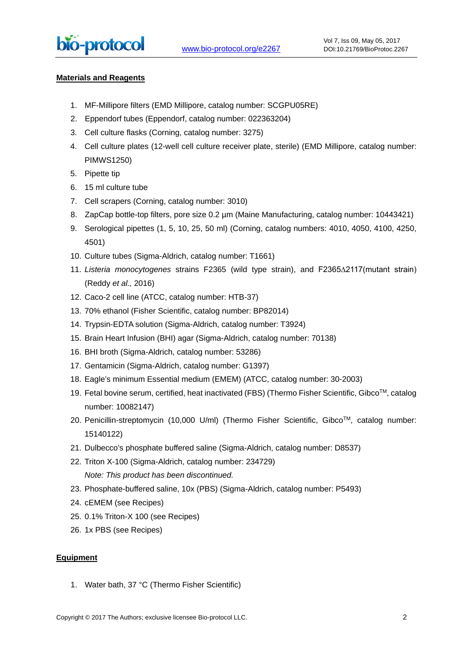#### **Materials and Reagents**

- 1. MF-Millipore filters (EMD Millipore, catalog number: SCGPU05RE)
- 2. Eppendorf tubes (Eppendorf, catalog number: 022363204)
- 3. Cell culture flasks (Corning, catalog number: 3275)
- 4. Cell culture plates (12-well cell culture receiver plate, sterile) (EMD Millipore, catalog number: PIMWS1250)
- 5. Pipette tip
- 6. 15 ml culture tube
- 7. Cell scrapers (Corning, catalog number: 3010)
- 8. ZapCap bottle-top filters, pore size 0.2 µm (Maine Manufacturing, catalog number: 10443421)
- 9. Serological pipettes (1, 5, 10, 25, 50 ml) (Corning, catalog numbers: 4010, 4050, 4100, 4250, 4501)
- 10. Culture tubes (Sigma-Aldrich, catalog number: T1661)
- 11. *Listeria monocytogenes* strains F2365 (wild type strain), and F2365∆2117(mutant strain) (Reddy *et al.,* 2016)
- 12. Caco-2 cell line (ATCC, catalog number: HTB-37)
- 13. 70% ethanol (Fisher Scientific, catalog number: BP82014)
- 14. Trypsin-EDTA solution (Sigma-Aldrich, catalog number: T3924)
- 15. Brain Heart Infusion (BHI) agar (Sigma-Aldrich, catalog number: 70138)
- 16. BHI broth (Sigma-Aldrich, catalog number: 53286)
- 17. Gentamicin (Sigma-Aldrich, catalog number: G1397)
- 18. Eagle's minimum Essential medium (EMEM) (ATCC, catalog number: 30-2003)
- 19. Fetal bovine serum, certified, heat inactivated (FBS) (Thermo Fisher Scientific, Gibco<sup>TM</sup>, catalog number: 10082147)
- 20. Penicillin-streptomycin (10,000 U/ml) (Thermo Fisher Scientific, Gibco™, catalog number: 15140122)
- 21. Dulbecco's phosphate buffered saline (Sigma-Aldrich, catalog number: D8537)
- 22. Triton X-100 (Sigma-Aldrich, catalog number: 234729) *Note: This product has been discontinued.*
- 23. Phosphate-buffered saline, 10x (PBS) (Sigma-Aldrich, catalog number: P5493)
- 24. cEMEM (see Recipes)
- 25. 0.1% Triton-X 100 (see Recipes)
- 26. 1x PBS (see Recipes)

#### **Equipment**

1. Water bath, 37 °C (Thermo Fisher Scientific)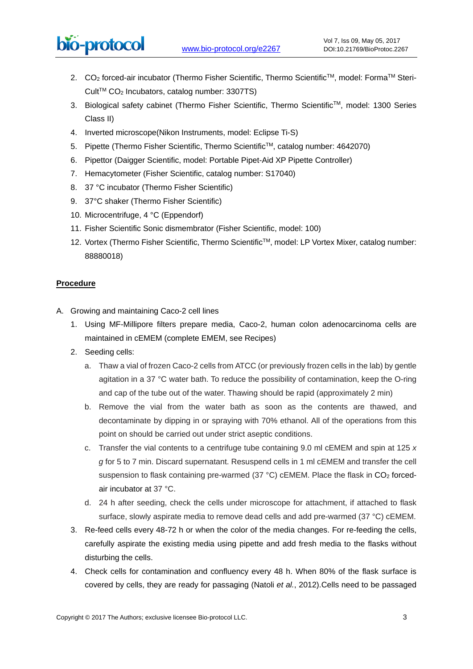# bio-protocol

- 2. CO<sub>2</sub> forced-air incubator (Thermo Fisher Scientific, Thermo Scientific™, model: Forma™ Steri-Cult<sup>TM</sup> CO<sub>2</sub> Incubators, catalog number: 3307TS)
- 3. Biological safety cabinet (Thermo Fisher Scientific, Thermo ScientificTM, model: 1300 Series Class II)
- 4. Inverted microscope(Nikon Instruments, model: Eclipse Ti-S)
- 5. Pipette (Thermo Fisher Scientific, Thermo ScientificTM, catalog number: 4642070)
- 6. Pipettor (Daigger Scientific, model: Portable Pipet-Aid XP Pipette Controller)
- 7. Hemacytometer (Fisher Scientific, catalog number: S17040)
- 8. 37 °C incubator (Thermo Fisher Scientific)
- 9. 37°C shaker (Thermo Fisher Scientific)
- 10. Microcentrifuge, 4 °C (Eppendorf)
- 11. Fisher Scientific Sonic dismembrator (Fisher Scientific, model: 100)
- 12. Vortex (Thermo Fisher Scientific, Thermo Scientific™, model: LP Vortex Mixer, catalog number: 88880018)

# **Procedure**

- A. Growing and maintaining Caco-2 cell lines
	- 1. Using MF-Millipore filters prepare media, Caco-2, human colon adenocarcinoma cells are maintained in cEMEM (complete EMEM, see Recipes)
	- 2. Seeding cells:
		- a. Thaw a vial of frozen Caco-2 cells from ATCC (or previously frozen cells in the lab) by gentle agitation in a 37 °C water bath. To reduce the possibility of contamination, keep the O-ring and cap of the tube out of the water. Thawing should be rapid (approximately 2 min)
		- b. Remove the vial from the water bath as soon as the contents are thawed, and decontaminate by dipping in or spraying with 70% ethanol. All of the operations from this point on should be carried out under strict aseptic conditions.
		- c. Transfer the vial contents to a centrifuge tube containing 9.0 ml cEMEM and spin at 125 *x g* for 5 to 7 min. Discard supernatant. Resuspend cells in 1 ml cEMEM and transfer the cell suspension to flask containing pre-warmed (37  $^{\circ}$ C) cEMEM. Place the flask in CO<sub>2</sub> forcedair incubator at 37 °C.
		- d. 24 h after seeding, check the cells under microscope for attachment, if attached to flask surface, slowly aspirate media to remove dead cells and add pre-warmed (37 °C) cEMEM.
	- 3. Re-feed cells every 48-72 h or when the color of the media changes. For re-feeding the cells, carefully aspirate the existing media using pipette and add fresh media to the flasks without disturbing the cells.
	- 4. Check cells for contamination and confluency every 48 h. When 80% of the flask surface is covered by cells, they are ready for passaging (Natoli *et al.*, 2012).Cells need to be passaged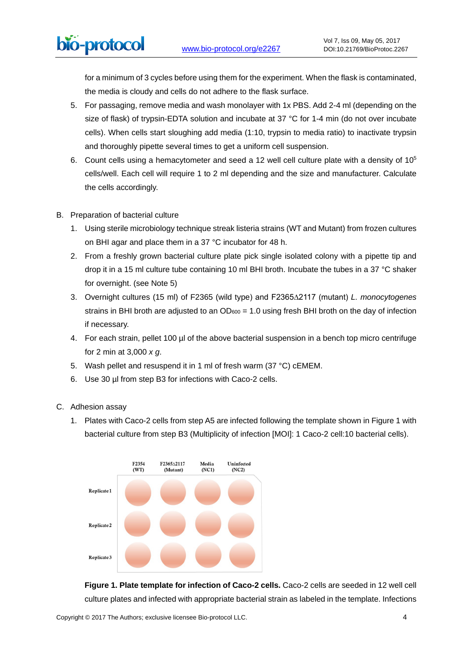for a minimum of 3 cycles before using them for the experiment. When the flask is contaminated, the media is cloudy and cells do not adhere to the flask surface.

- 5. For passaging, remove media and wash monolayer with 1x PBS. Add 2-4 ml (depending on the size of flask) of trypsin-EDTA solution and incubate at 37 °C for 1-4 min (do not over incubate cells). When cells start sloughing add media (1:10, trypsin to media ratio) to inactivate trypsin and thoroughly pipette several times to get a uniform cell suspension.
- 6. Count cells using a hemacytometer and seed a 12 well cell culture plate with a density of  $10^5$ cells/well. Each cell will require 1 to 2 ml depending and the size and manufacturer. Calculate the cells accordingly.
- B. Preparation of bacterial culture

bio-protocol

- 1. Using sterile microbiology technique streak listeria strains (WT and Mutant) from frozen cultures on BHI agar and place them in a 37 °C incubator for 48 h.
- 2. From a freshly grown bacterial culture plate pick single isolated colony with a pipette tip and drop it in a 15 ml culture tube containing 10 ml BHI broth. Incubate the tubes in a 37 °C shaker for overnight. (see Note 5)
- 3. Overnight cultures (15 ml) of F2365 (wild type) and F2365∆2117 (mutant) *L. monocytogenes* strains in BHI broth are adjusted to an  $OD<sub>600</sub> = 1.0$  using fresh BHI broth on the day of infection if necessary.
- 4. For each strain, pellet 100 ul of the above bacterial suspension in a bench top micro centrifuge for 2 min at 3,000 *x g*.
- 5. Wash pellet and resuspend it in 1 ml of fresh warm (37 °C) cEMEM.
- 6. Use 30 µl from step B3 for infections with Caco-2 cells.
- C. Adhesion assay
	- 1. Plates with Caco-2 cells from step A5 are infected following the template shown in Figure 1 with bacterial culture from step B3 (Multiplicity of infection [MOI]: 1 Caco-2 cell:10 bacterial cells).



**Figure 1. Plate template for infection of Caco-2 cells.** Caco-2 cells are seeded in 12 well cell culture plates and infected with appropriate bacterial strain as labeled in the template. Infections

Copyright © 2017 The Authors; exclusive licensee Bio-protocol LLC. 4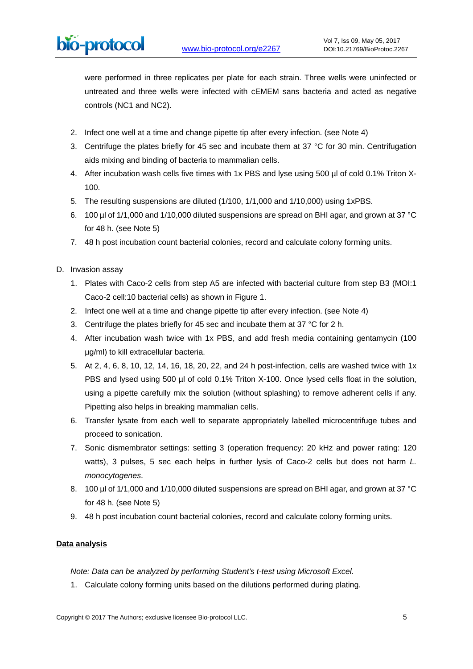were performed in three replicates per plate for each strain. Three wells were uninfected or untreated and three wells were infected with cEMEM sans bacteria and acted as negative controls (NC1 and NC2).

- 2. Infect one well at a time and change pipette tip after every infection. (see Note 4)
- 3. Centrifuge the plates briefly for 45 sec and incubate them at 37 °C for 30 min. Centrifugation aids mixing and binding of bacteria to mammalian cells.
- 4. After incubation wash cells five times with 1x PBS and lyse using 500 µl of cold 0.1% Triton X-100.
- 5. The resulting suspensions are diluted (1/100, 1/1,000 and 1/10,000) using 1xPBS.
- 6. 100 µl of 1/1,000 and 1/10,000 diluted suspensions are spread on BHI agar, and grown at 37 °C for 48 h. (see Note 5)
- 7. 48 h post incubation count bacterial colonies, record and calculate colony forming units.
- D. Invasion assay
	- 1. Plates with Caco-2 cells from step A5 are infected with bacterial culture from step B3 (MOI:1 Caco-2 cell:10 bacterial cells) as shown in Figure 1.
	- 2. Infect one well at a time and change pipette tip after every infection. (see Note 4)
	- 3. Centrifuge the plates briefly for 45 sec and incubate them at 37 °C for 2 h.
	- 4. After incubation wash twice with 1x PBS, and add fresh media containing gentamycin (100 µg/ml) to kill extracellular bacteria.
	- 5. At 2, 4, 6, 8, 10, 12, 14, 16, 18, 20, 22, and 24 h post-infection, cells are washed twice with 1x PBS and lysed using 500 µl of cold 0.1% Triton X-100. Once lysed cells float in the solution, using a pipette carefully mix the solution (without splashing) to remove adherent cells if any. Pipetting also helps in breaking mammalian cells.
	- 6. Transfer lysate from each well to separate appropriately labelled microcentrifuge tubes and proceed to sonication.
	- 7. Sonic dismembrator settings: setting 3 (operation frequency: 20 kHz and power rating: 120 watts), 3 pulses, 5 sec each helps in further lysis of Caco-2 cells but does not harm *L. monocytogenes*.
	- 8. 100 µl of 1/1,000 and 1/10,000 diluted suspensions are spread on BHI agar, and grown at 37 °C for 48 h. (see Note 5)
	- 9. 48 h post incubation count bacterial colonies, record and calculate colony forming units.

# **Data analysis**

*Note: Data can be analyzed by performing Student's t-test using Microsoft Excel.*

1. Calculate colony forming units based on the dilutions performed during plating.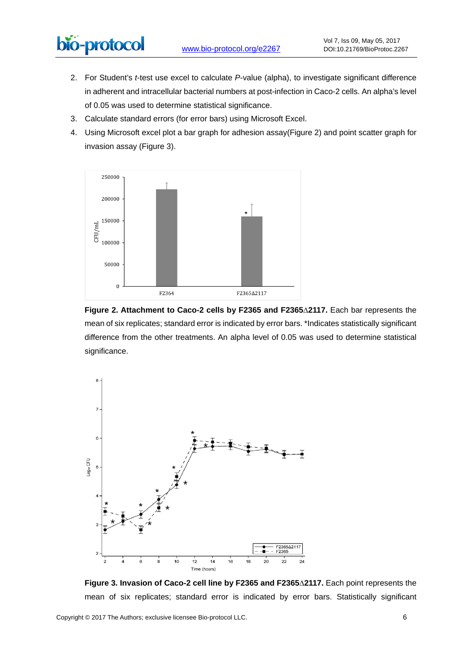- 2. For Student's *t*-test use excel to calculate *P*-value (alpha), to investigate significant difference in adherent and intracellular bacterial numbers at post-infection in Caco-2 cells. An alpha's level of 0.05 was used to determine statistical significance.
- 3. Calculate standard errors (for error bars) using Microsoft Excel.
- 4. Using Microsoft excel plot a bar graph for adhesion assay(Figure 2) and point scatter graph for invasion assay (Figure 3).



**Figure 2. Attachment to Caco-2 cells by F2365 and F2365∆2117.** Each bar represents the mean of six replicates; standard error is indicated by error bars. \*Indicates statistically significant difference from the other treatments. An alpha level of 0.05 was used to determine statistical significance.



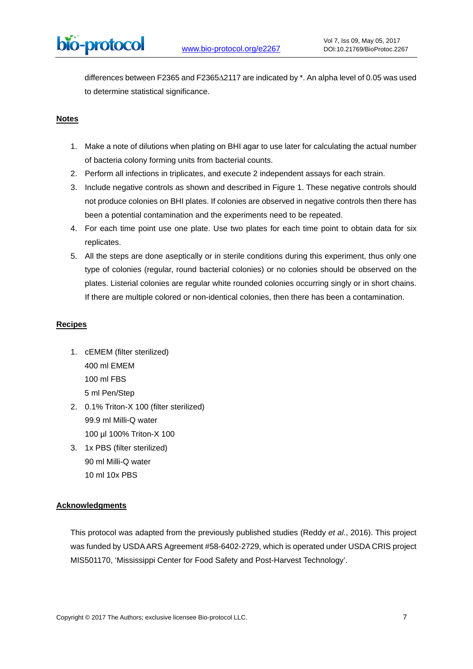differences between F2365 and F2365∆2117 are indicated by \*. An alpha level of 0.05 was used to determine statistical significance.

### **Notes**

- 1. Make a note of dilutions when plating on BHI agar to use later for calculating the actual number of bacteria colony forming units from bacterial counts.
- 2. Perform all infections in triplicates, and execute 2 independent assays for each strain.
- 3. Include negative controls as shown and described in Figure 1. These negative controls should not produce colonies on BHI plates. If colonies are observed in negative controls then there has been a potential contamination and the experiments need to be repeated.
- 4. For each time point use one plate. Use two plates for each time point to obtain data for six replicates.
- 5. All the steps are done aseptically or in sterile conditions during this experiment, thus only one type of colonies (regular, round bacterial colonies) or no colonies should be observed on the plates. Listerial colonies are regular white rounded colonies occurring singly or in short chains. If there are multiple colored or non-identical colonies, then there has been a contamination.

#### **Recipes**

- 1. cEMEM (filter sterilized) 400 ml EMEM 100 ml FBS 5 ml Pen/Step
- 2. 0.1% Triton-X 100 (filter sterilized) 99.9 ml Milli-Q water 100 µl 100% Triton-X 100
- 3. 1x PBS (filter sterilized) 90 ml Milli-Q water 10 ml 10x PBS

# **Acknowledgments**

This protocol was adapted from the previously published studies (Reddy *et al.*, 2016). This project was funded by USDA ARS Agreement #58-6402-2729, which is operated under USDA CRIS project MIS501170, 'Mississippi Center for Food Safety and Post-Harvest Technology'.